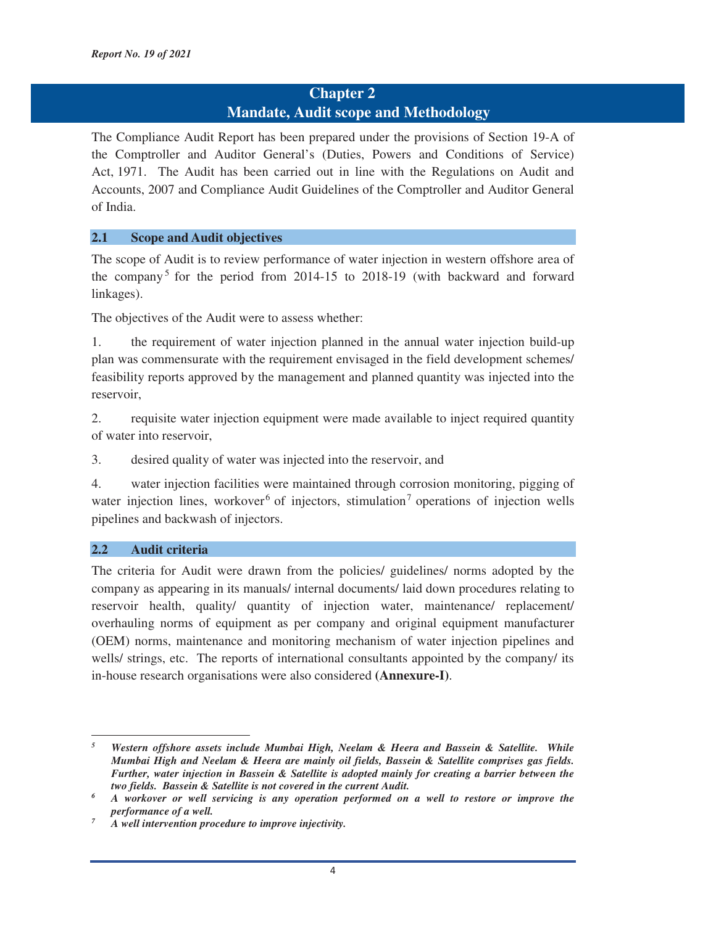## **Chapter 2**

### **Mandate, Audit scope and Methodology**

The Compliance Audit Report has been prepared under the provisions of Section 19-A of the Comptroller and Auditor General's (Duties, Powers and Conditions of Service) Act, 1971. The Audit has been carried out in line with the Regulations on Audit and Accounts, 2007 and Compliance Audit Guidelines of the Comptroller and Auditor General of India.

#### **2.1 Scope and Audit objectives**

The scope of Audit is to review performance of water injection in western offshore area of the company 5 for the period from 2014-15 to 2018-19 (with backward and forward linkages).

The objectives of the Audit were to assess whether:

1. the requirement of water injection planned in the annual water injection build-up plan was commensurate with the requirement envisaged in the field development schemes/ feasibility reports approved by the management and planned quantity was injected into the reservoir,

2. requisite water injection equipment were made available to inject required quantity of water into reservoir,

3. desired quality of water was injected into the reservoir, and

4. water injection facilities were maintained through corrosion monitoring, pigging of water injection lines, workover<sup>6</sup> of injectors, stimulation<sup>7</sup> operations of injection wells pipelines and backwash of injectors.

#### **2.2 Audit criteria**

<u> 1989 - Johann Stein, mars ar breithinn ar chuid ann an t-</u>

The criteria for Audit were drawn from the policies/ guidelines/ norms adopted by the company as appearing in its manuals/ internal documents/ laid down procedures relating to reservoir health, quality/ quantity of injection water, maintenance/ replacement/ overhauling norms of equipment as per company and original equipment manufacturer (OEM) norms, maintenance and monitoring mechanism of water injection pipelines and wells/ strings, etc. The reports of international consultants appointed by the company/ its in-house research organisations were also considered **(Annexure-I)**.

*<sup>5</sup> Western offshore assets include Mumbai High, Neelam & Heera and Bassein & Satellite. While Mumbai High and Neelam & Heera are mainly oil fields, Bassein & Satellite comprises gas fields. Further, water injection in Bassein & Satellite is adopted mainly for creating a barrier between the two fields. Bassein & Satellite is not covered in the current Audit. 6*

*A workover or well servicing is any operation performed on a well to restore or improve the performance of a well.* 

*A well intervention procedure to improve injectivity.*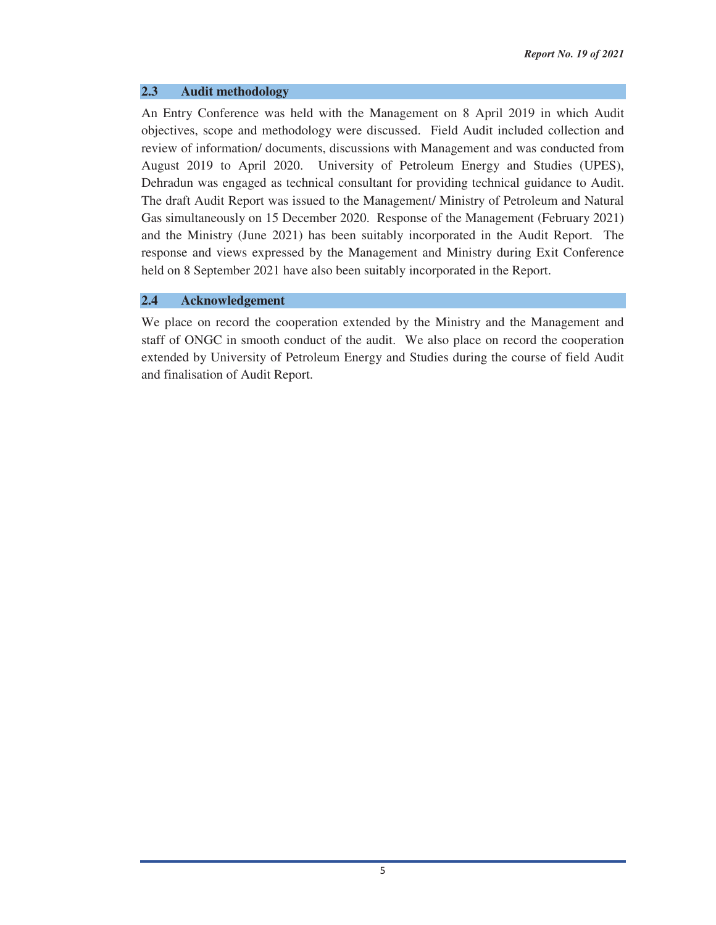#### **2.3 Audit methodology**

An Entry Conference was held with the Management on 8 April 2019 in which Audit objectives, scope and methodology were discussed. Field Audit included collection and review of information/ documents, discussions with Management and was conducted from August 2019 to April 2020. University of Petroleum Energy and Studies (UPES), Dehradun was engaged as technical consultant for providing technical guidance to Audit. The draft Audit Report was issued to the Management/ Ministry of Petroleum and Natural Gas simultaneously on 15 December 2020. Response of the Management (February 2021) and the Ministry (June 2021) has been suitably incorporated in the Audit Report. The response and views expressed by the Management and Ministry during Exit Conference held on 8 September 2021 have also been suitably incorporated in the Report.

#### **2.4 Acknowledgement**

We place on record the cooperation extended by the Ministry and the Management and staff of ONGC in smooth conduct of the audit. We also place on record the cooperation extended by University of Petroleum Energy and Studies during the course of field Audit and finalisation of Audit Report.